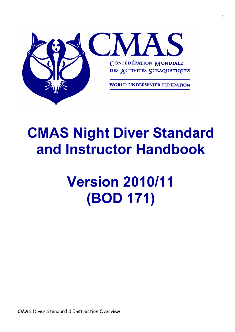

## **CMAS Night Diver Standard and Instructor Handbook**

# **Version 2010/11 (BOD 171)**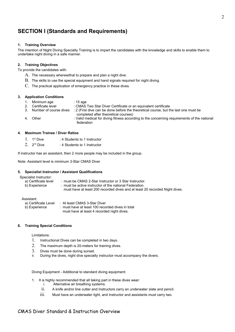## **SECTION I (Standards and Requirements)**

## **1. Training Overview**

The intention of Night Diving Specialty Training is to impart the candidates with the knowledge and skills to enable them to undertake night diving in a safe manner.

## **2. Training Objectives**

To provide the candidates with:

- A. The necessary wherewithal to prepare and plan a night dive.
- B. The skills to use the special equipment and hand signals required for night diving.
- C. The practical application of emergency practice in these dives.

## **3. Application Conditions**

- 
- 1. Minimum age : 15 age<br>2. Certificate level : CMAS : CMAS Two Star Diver Certificate or an equivalent certificate
- 3. Number of course dives : 2 (First dive can be done before the theoretical course, but the last one must be completed after theoretical courses)
- 4. Other : Valid medical for diving fitness according to the concerning requirements of the national federation

## **4. Maximum Trainee / Diver Ratios**

- 1. 1st Dive : 4 Students to 1 Instructor
- $2.$   $2^{nd}$  Dive : 4 Students to 1 Instructor

If instructor has an assistant, then 2 more people may be included in the group.

Note: Assistant level is minimum 3-Star CMAS Diver

## **5. Specialist Instructor / Assistant Qualifications**

Specialist Instructor:

| a) Certificate level | : must be CMAS 2-Star Instructor or 3 Star Instructor.                      |
|----------------------|-----------------------------------------------------------------------------|
| b) Experience        | : must be active instructor of the national Federation.                     |
|                      | must have at least 200 recorded dives and at least 20 recorded Night dives. |

## Assistant:

| a) Certificate Level | : At least CMAS 3-Star Diver                     |
|----------------------|--------------------------------------------------|
| b) Experience        | : must have at least 100 recorded dives in total |
|                      | must have at least 4 recorded night dives.       |

## **6. Training Special Conditions**

Limitations:

- 1. Instructional Dives can be completed in two days.
- 2. The maximum depth is 20-meters for training dives.
- 3. Dives must be done during sunset.
- 4. During the dives, night dive specialty instructor must accompany the divers.

Diving Equipment - Additional to standard diving equipment:

- 1. It is highly recommended that all taking part in these dives wear:
	- i. Alternative air breathing systems.
	- ii. A knife and/or line cutter and Instructors carry an underwater slate and pencil.
	- $\ldots$  Must have an underwater light, and Instructor and assistants must carry two.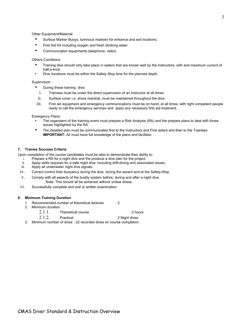Other Equipment/Material:

- Surface Marker Buoys, luminous markers for entrance and exit locations.
- First Aid Kit including oxygen and fresh drinking water.
- Communication equipments (telephone, radio).

## Others Conditions:

- Training dive should only take place in waters that are known well by the Instructors, with and maximum current of half-a-knot.
- Dive durations must be within the Safety-Stop time for the planned depth.

## Supervision:

- During these training dive:
	- i. Trainees must be under the direct supervision of an Instructor at all times.
	- ii. Surface cover i.e. shore marshal, must be maintained throughout the dive.
- iii. First aid equipment and emergency communications must be on hand, at all times, with right competent people ready to call the emergency services and apply any necessary firts aid treatment.

Emergency Plans:

- The organisers of the training event must prepare a Risk Analysis (RA) and the prepare plans to deal with those issues highlighted by the RA.
- The detailed plan must be communicated first to the Instructors and First aiders and then to the Trainees. **IMPORTANT:** All must have full knowledge of the plans and facilities.

## **7. Trainee Success Criteria**

Upon completion of the course candidates must be able to demonstrate their ability to:

- i. Prepare a RA for a night dive and the produce a dive plan for the project.
- ii. Apply skills required for a safe night dive, including drift-diving and associated issues.
- iii. Apply all underwater night dive signals.
- iv. Correct control their buoyancy during the dive, during the ascent and at the Safety-Stop.
- v. Comply with all aspects of the buddy system before, during and after a night dive. Note: This should all be achieved without undue stress,
- vi. Successfully complete and oral or written examination.

## **8. Minimum Training Duration**

- 1. Recommended number of theoretical lectures : 2
- 2. Minimum duration
	- 2.1.1. Theoretical course **12** Theoretical course
	- 2.1.2. Practical : 2 Night dives
- 3. Minimum number of dives : 22 recorded dives on course completion.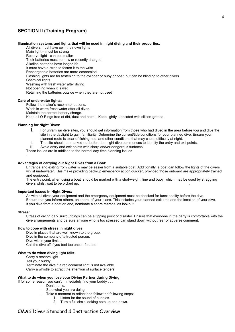## **SECTION II (Training Program)**

## **Illumination systems and lights that will be used in night diving and their properties:**

All divers must have own their own lights Main light – must be strong Reserve light –can be smaller Their batteries must be new or recently charged. Alkaline batteries have longer life It must have a strap to fasten it to the wrist Rechargeable batteries are more economical Flashing lights are for fastening to the cylinder or buoy or boat, but can be blinding to other divers Chemical lights Washing with fresh water after diving Not opening when it is wet Retaining the batteries outside when they are not used

## **Care of underwater lights:**

Follow the maker's recommendations. Wash in warm fresh water after all dives. Maintain the correct battery charge. Keep all O-Rings free of dirt, dust and hairs – Keep lightly lubricated with silicon-grease.

## **Planning for Night Dives:**

- i. For unfamiliar dive sites, you should get information from those who had dived in the area before you and dive the site in the daylight to gain familiarity. Determine the current/tide conditions for your planned dive. Ensure your planned route is clear of fishing nets and other conditions that may cause difficulty at night.
- ii. The site should be marked-out before the night dive commences to identify the entry and exit points.
- iii. Avoid entry and exit points with sharp and/or dangerous surfaces.

These issues are in addition to the normal day time planning issues.

## **Advantages of carrying out Night Dives from a Boat:**

Entrance and exiting from water is may be easier from a suitable boat. Additionally, a boat can follow the lights of the divers whilst underwater. This make providing back-up emergency action quicker, provided those onboard are appropriately trained and equipped.

The entry point, when using a boat, should be marked with a shot-weight, line and buoy, which may be used by straggling divers whilst wait to be picked up.

## **Important Issues in Night Dives:**

As with all dives your equipment and the emergency equipment must be checked for functionality before the dive. Ensure that you inform others, on shore, of your plans. This includes your planned exit time and the location of your dive. If you dive from a boat or land, nominate a shore marshal as lookout.

#### **Stress:**

.

Stress of diving dark surroundings can be a tipping point of disaster. Ensure that everyone in the party is comfortable with the dive arrangements and be sure anyone who is too stressed can stand down without fear of adverse comment.

## **How to cope with stress in night dives:**

Dive in places that are well known to the group. Dive in the company of a trusted person. Dive within your limits. Call the dive off if you feel too uncomfortable.

## **What to do when diving light fails:**

Carry a reserve light. Tell your buddy. Terminate the dive if a replacement light is not available. Carry a whistle to attract the attention of surface tenders.

## **What to do when you lose your Diving Partner during Diving:**

- If for some reason you can't immediately find your buddy . . .
	- Don't panic.
	- Stop what you are doing.
	- Take a moment to reflect and follow the following steps:
		- 1. Listen for the sound of bubbles.
			- 2. Turn a full circle looking both up and down.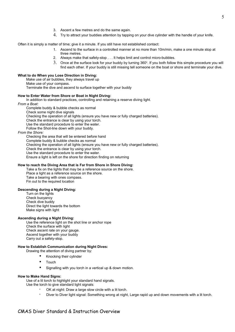- 3. Ascent a few metres and do the same again.
- 4. Try to attract your buddies attention by tapping on your dive cylinder with the handle of your knife.

Often it is simply a matter of time; give it a minute. If you still have not established contact:

- 1. Ascend to the surface in a controlled manner at no more than 10m/min, make a one minute stop at three metres.
- 2. Always make that safety-stop . . . It helps limit and control micro-bubbles.
- $3.$  Once at the surface look for your buddy by turning 360 $^{\circ}$ . If you both follow this simple procedure you will find each other. If your buddy is still missing tell someone on the boat or shore and terminate your dive.

## **What to do When you Lose Direction in Diving:**

Make use of air bubbles, they always travel up

Make use of your compass.

Terminate the dive and ascend to surface together with your buddy

#### **How to Enter Water from Shore or Boat in Night Diving:**

In addition to standard practices, controlling and retaining a reserve diving light.

*From a Boat:* 

Complete buddy & bubble checks as normal Check some night dive signals Checking the operation of all lights (ensure you have new or fully charged batteries). Check the entrance is clear by using your torch. Use the standard procedure to enter the water. Follow the Shot-line down with your buddy. *From the Shore:*

Checking the area that will be entered before hand Complete buddy & bubble checks as normal Checking the operation of all lights (ensure you have new or fully charged batteries). Check the entrance is clear by using your torch. Use the standard procedure to enter the water. Ensure a light is left on the shore for direction finding on returning

## **How to reach the Diving Area that is Far from Shore in Shore Diving:**

Take a fix on the lights that may be a reference source on the shore.

Place a light as a reference source on the shore. Take a bearing with ones compass. Fin out to the required location

**Descending during a Night Diving:**

Turn on the lights Check buoyancy Check dive buddy Direct the light towards the bottom Make signs with light

## **Ascending during a Night Diving:**

Use the reference light on the shot line or anchor rope Check the surface with light Check ascent rate on your gauge. Ascend together with your buddy Carry out a safety-stop.

## **How to Establish Communication during Night Dives:**

Drawing the attention of diving partner by:

- Knocking their cylinder
- Touch
- Signalling with you torch in a vertical up & down motion.

## **How to Make Hand Signs:**

Use of a lit torch to highlight your standard hand signals.

Use the torch to give standard light signals:

- OK at night: Draw a large slow circle with a lit torch.
- Diver to Diver light signal: Something wrong at night, Large rapid up and down movements with a lit torch.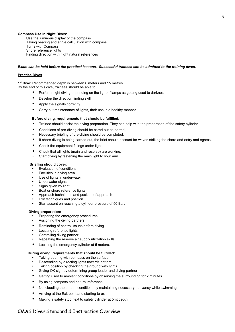## **Compass Use in Night Dives:**

Use the luminous display of the compass Taking bearing and angle calculation with compass Turns with Compass Shore reference lights Finding direction with night natural references

## *Exam can be held before the practical lessons. Successful trainees can be admitted to the training dives.*

## **Practise Dives**

**1 st Dive:** Recommended depth is between 6 meters and 15 metres.

By the end of this dive, trainees should be able to:

- Perform night diving depending on the light of lamps as getting used to darkness.
- Develop the direction finding skill
- Apply the signals correctly
- Carry out maintenance of lights, their use in a healthy manner.

## **Before diving, requirements that should be fulfilled:**

- Trainee should assist the diving preparation. They can help with the preparation of the safety cylinder.
- Conditions of pre-diving should be cared out as normal.
- Necessary briefing of pre-diving should be completed.
- If shore diving is being carried out, the brief should account for waves striking the shore and entry and egress.
- Check the equipment fittings under light.
- Check that all lights (main and reserve) are working.
- Start diving by fastening the main light to your arm.

## **Briefing should cover:**

- Evaluation of conditions
- Facilities in diving area
- Use of lights in underwater
- Underwater signs
- Signs given by light
- Boat or shore reference lights
- Approach techniques and position of approach
- Exit techniques and position
- Start ascent on reaching a cylinder pressure of 50 Bar.

## **Diving preparation:**

- Preparing the emergency procedures
- Assigning the diving partners
- Reminding of control issues before diving
- Locating reference lights
- Controlling diving partner
- Repeating the reserve air supply utilization skills
- Locating the emergency cylinder at 5 meters.

## **During diving, requirements that should be fulfilled:**

- Taking bearing with compass on the surface
- Descending by directing lights towards bottom
- Taking position by checking the ground with lights
- Giving OK sign by determining group leader and diving partner
- Getting used to ambient conditions by observing the surrounding for 2 minutes
- By using compass and natural reference
- Not clouding the bottom conditions by maintaining necessary buoyancy while swimming.
- Arriving at the Exit point and starting to exit.
- Making a safety stop next to safety cylinder at 5mt depth.